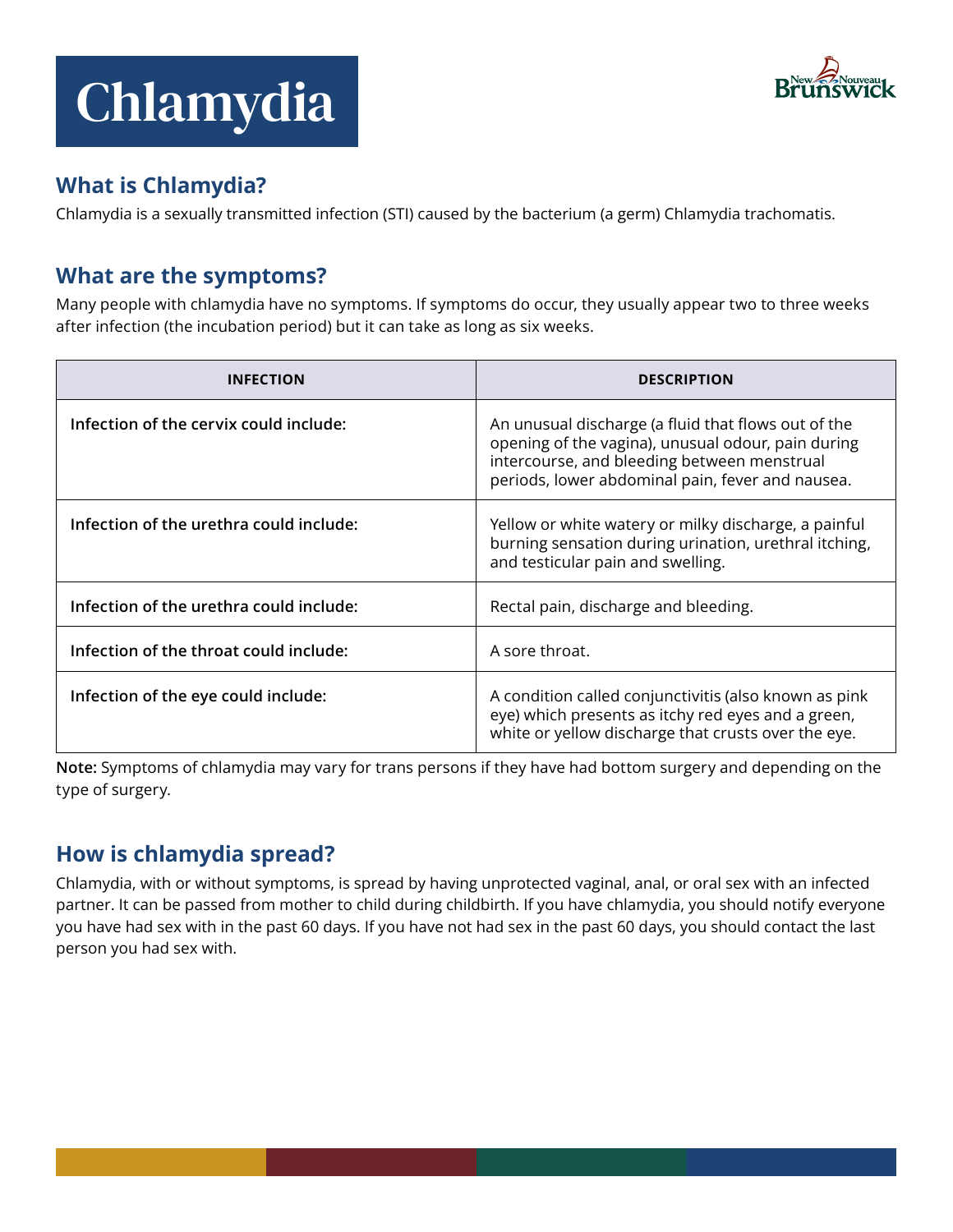# Chlamydia



## **What is Chlamydia?**

Chlamydia is a sexually transmitted infection (STI) caused by the bacterium (a germ) Chlamydia trachomatis.

## **What are the symptoms?**

Many people with chlamydia have no symptoms. If symptoms do occur, they usually appear two to three weeks after infection (the incubation period) but it can take as long as six weeks.

| <b>INFECTION</b>                        | <b>DESCRIPTION</b>                                                                                                                                                                                           |
|-----------------------------------------|--------------------------------------------------------------------------------------------------------------------------------------------------------------------------------------------------------------|
| Infection of the cervix could include:  | An unusual discharge (a fluid that flows out of the<br>opening of the vagina), unusual odour, pain during<br>intercourse, and bleeding between menstrual<br>periods, lower abdominal pain, fever and nausea. |
| Infection of the urethra could include: | Yellow or white watery or milky discharge, a painful<br>burning sensation during urination, urethral itching,<br>and testicular pain and swelling.                                                           |
| Infection of the urethra could include: | Rectal pain, discharge and bleeding.                                                                                                                                                                         |
| Infection of the throat could include:  | A sore throat.                                                                                                                                                                                               |
| Infection of the eye could include:     | A condition called conjunctivitis (also known as pink<br>eye) which presents as itchy red eyes and a green,<br>white or yellow discharge that crusts over the eye.                                           |

Note: Symptoms of chlamydia may vary for trans persons if they have had bottom surgery and depending on the type of surgery.

# **How is chlamydia spread?**

Chlamydia, with or without symptoms, is spread by having unprotected vaginal, anal, or oral sex with an infected partner. It can be passed from mother to child during childbirth. If you have chlamydia, you should notify everyone you have had sex with in the past 60 days. If you have not had sex in the past 60 days, you should contact the last person you had sex with.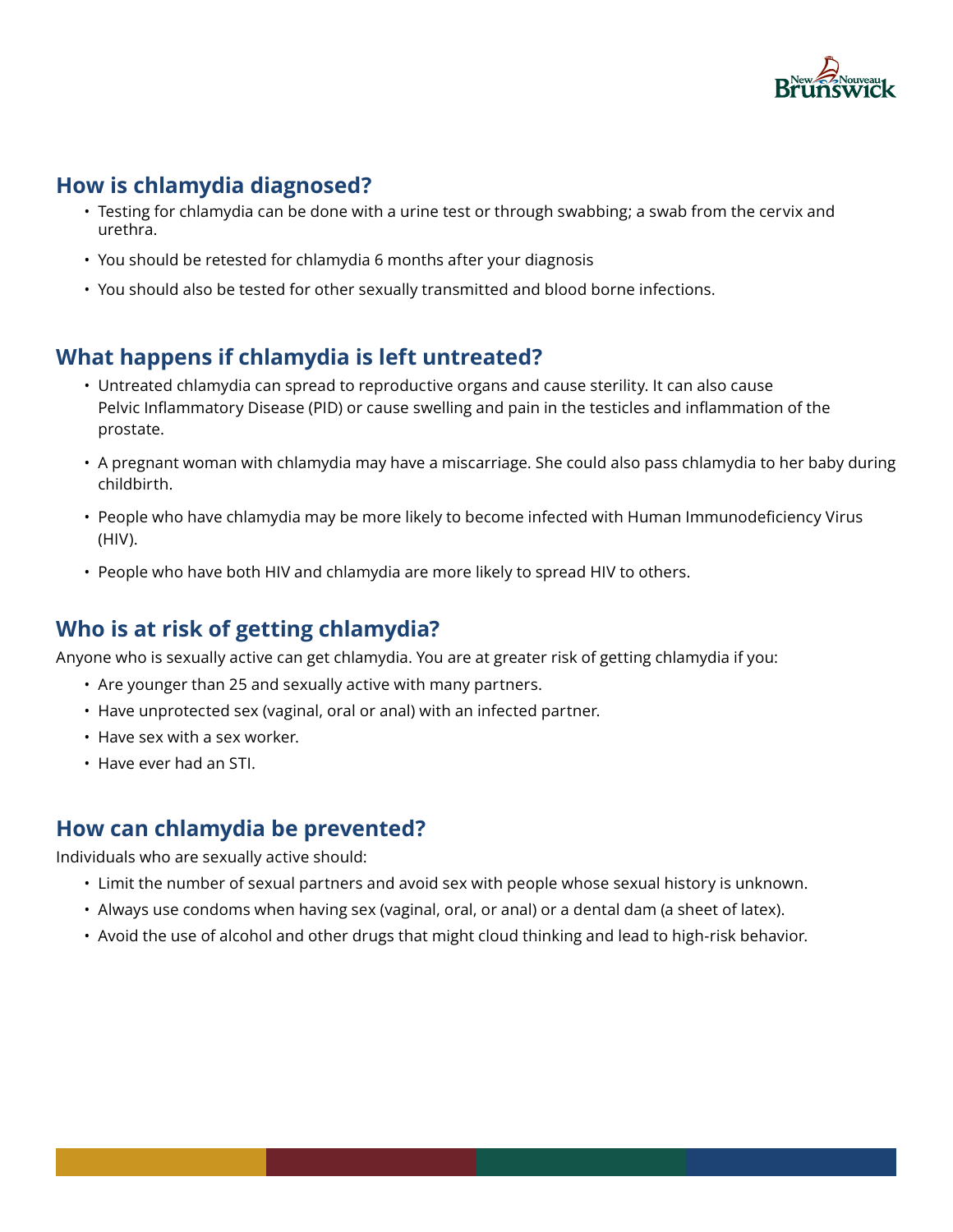

### **How is chlamydia diagnosed?**

- Testing for chlamydia can be done with a urine test or through swabbing; a swab from the cervix and urethra.
- You should be retested for chlamydia 6 months after your diagnosis
- You should also be tested for other sexually transmitted and blood borne infections.

## **What happens if chlamydia is left untreated?**

- Untreated chlamydia can spread to reproductive organs and cause sterility. It can also cause Pelvic Inflammatory Disease (PID) or cause swelling and pain in the testicles and inflammation of the prostate.
- A pregnant woman with chlamydia may have a miscarriage. She could also pass chlamydia to her baby during childbirth.
- People who have chlamydia may be more likely to become infected with Human Immunodeficiency Virus (HIV).
- People who have both HIV and chlamydia are more likely to spread HIV to others.

### **Who is at risk of getting chlamydia?**

Anyone who is sexually active can get chlamydia. You are at greater risk of getting chlamydia if you:

- Are younger than 25 and sexually active with many partners.
- Have unprotected sex (vaginal, oral or anal) with an infected partner.
- Have sex with a sex worker.
- Have ever had an STI.

#### **How can chlamydia be prevented?**

Individuals who are sexually active should:

- Limit the number of sexual partners and avoid sex with people whose sexual history is unknown.
- Always use condoms when having sex (vaginal, oral, or anal) or a dental dam (a sheet of latex).
- Avoid the use of alcohol and other drugs that might cloud thinking and lead to high-risk behavior.